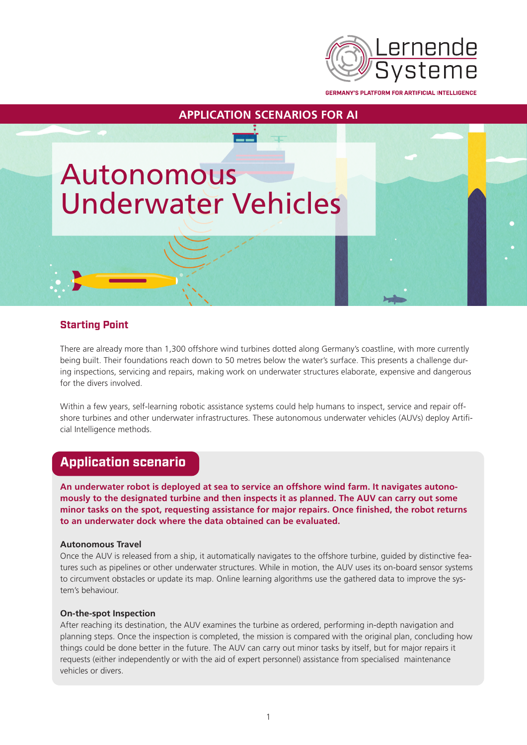

**GERMANY'S PLATFORM FOR ARTIFICIAL INTELLIGENCE** 

# Autonomous Underwater Vehicles

# **Starting Point**

There are already more than 1,300 offshore wind turbines dotted along Germany's coastline, with more currently being built. Their foundations reach down to 50 metres below the water's surface. This presents a challenge during inspections, servicing and repairs, making work on underwater structures elaborate, expensive and dangerous for the divers involved.

**APPLICATION SCENARIOS FOR AI**

Within a few years, self-learning robotic assistance systems could help humans to inspect, service and repair offshore turbines and other underwater infrastructures. These autonomous underwater vehicles (AUVs) deploy Artificial Intelligence methods.

# **Application scenario**

**An underwater robot is deployed at sea to service an offshore wind farm. It navigates autonomously to the designated turbine and then inspects it as planned. The AUV can carry out some minor tasks on the spot, requesting assistance for major repairs. Once finished, the robot returns to an underwater dock where the data obtained can be evaluated.**

#### **Autonomous Travel**

Once the AUV is released from a ship, it automatically navigates to the offshore turbine, guided by distinctive features such as pipelines or other underwater structures. While in motion, the AUV uses its on-board sensor systems to circumvent obstacles or update its map. Online learning algorithms use the gathered data to improve the system's behaviour.

#### **On-the-spot Inspection**

After reaching its destination, the AUV examines the turbine as ordered, performing in-depth navigation and planning steps. Once the inspection is completed, the mission is compared with the original plan, concluding how things could be done better in the future. The AUV can carry out minor tasks by itself, but for major repairs it requests (either independently or with the aid of expert personnel) assistance from specialised maintenance vehicles or divers.